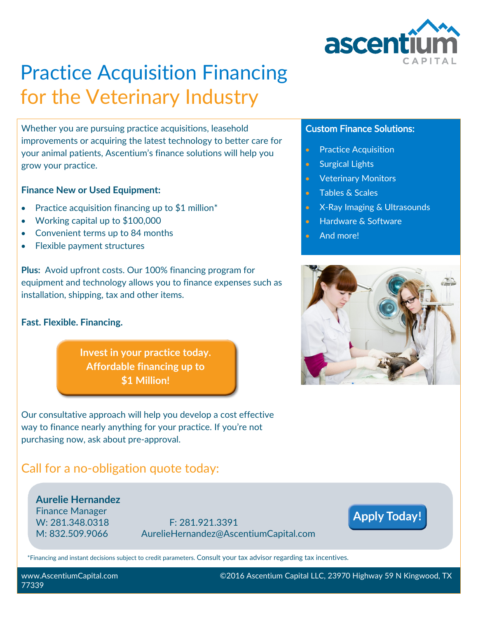

# Practice Acquisition Financing for the Veterinary Industry

Whether you are pursuing practice acquisitions, leasehold improvements or acquiring the latest technology to better care for your animal patients, Ascentium's finance solutions will help you grow your practice.

#### **Finance New or Used Equipment:**

- Practice acquisition financing up to  $$1$  million<sup>\*</sup>
- Working capital up to \$100,000
- Convenient terms up to 84 months
- Flexible payment structures

**Plus:** Avoid upfront costs. Our 100% financing program for equipment and technology allows you to finance expenses such as installation, shipping, tax and other items.

#### **Fast. Flexible. Financing.**

**Invest in your practice today. Affordable financing up to \$1 Million!**

Our consultative approach will help you develop a cost effective way to finance nearly anything for your practice. If you're not purchasing now, ask about pre-approval.

### Call for a no-obligation quote today:

**Aurelie Hernandez** Finance Manager

W: 281.348.0318 F: 281.921.3391 M: 832.509.9066 AurelieHernandez@AscentiumCapital.com

### **Apply Today!**

\*Financing and instant decisions subject to credit parameters. Consult your tax advisor regarding tax incentives.

#### **Custom Finance Solutions:**

- **•** Practice Acquisition
- Surgical Lights
- **•** Veterinary Monitors
- **Tables & Scales**
- X-Ray Imaging & Ultrasounds
- Hardware & Software
- And more!